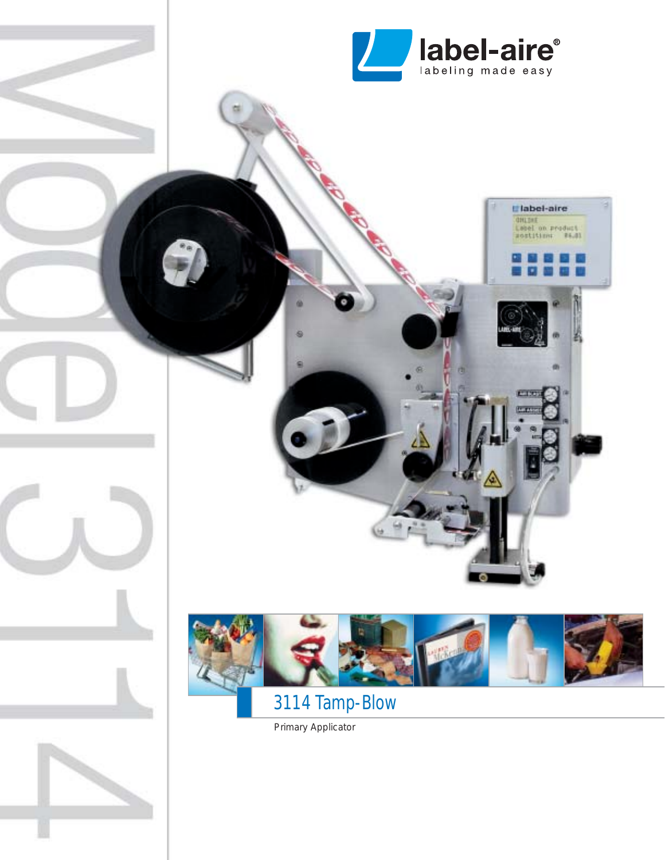

L'Iabel-aire

ONLINE<br>Lebel on product<br>sostition: #6.81



# 3114 Tamp-Blow

Primary Applicator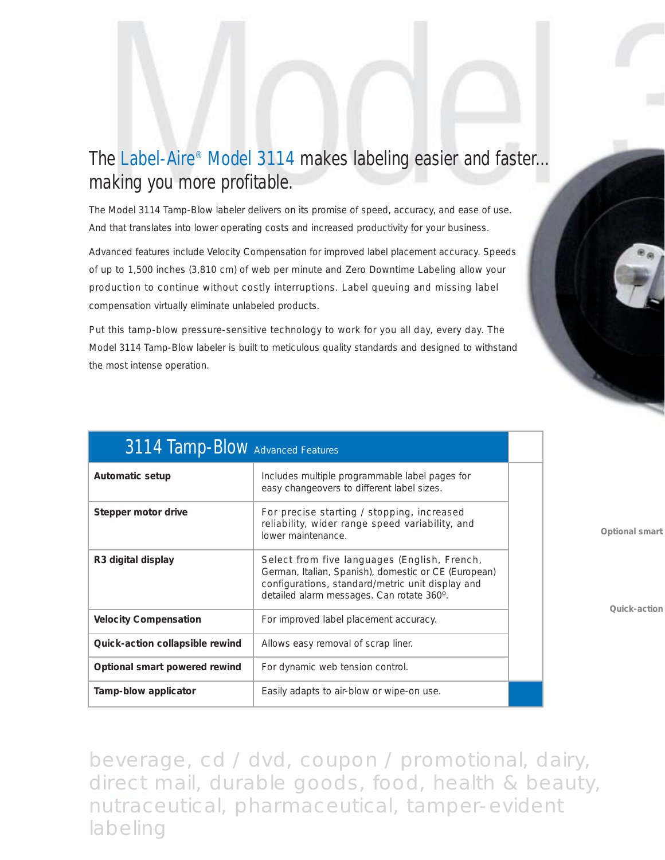## The Label-Aire® Model 3114 makes labeling easier and faster... making you more profitable.

The Model 3114 Tamp-Blow labeler delivers on its promise of speed, accuracy, and ease of use. And that translates into lower operating costs and increased productivity for your business.

Advanced features include Velocity Compensation for improved label placement accuracy. Speeds of up to 1,500 inches (3,810 cm) of web per minute and Zero Downtime Labeling allow your production to continue without costly interruptions. Label queuing and missing label compensation virtually eliminate unlabeled products.

Put this tamp-blow pressure-sensitive technology to work for you all day, every day. The Model 3114 Tamp-Blow labeler is built to meticulous quality standards and designed to withstand the most intense operation.

| 3114 Tamp-Blow Advanced Features |                                                                                                                                                                                                       |  |
|----------------------------------|-------------------------------------------------------------------------------------------------------------------------------------------------------------------------------------------------------|--|
| Automatic setup                  | Includes multiple programmable label pages for<br>easy changeovers to different label sizes.                                                                                                          |  |
| Stepper motor drive              | For precise starting / stopping, increased<br>reliability, wider range speed variability, and<br>lower maintenance.                                                                                   |  |
| R3 digital display               | Select from five languages (English, French,<br>German, Italian, Spanish), domestic or CE (European)<br>configurations, standard/metric unit display and<br>detailed alarm messages. Can rotate 360°. |  |
| <b>Velocity Compensation</b>     | For improved label placement accuracy.                                                                                                                                                                |  |
| Quick-action collapsible rewind  | Allows easy removal of scrap liner.                                                                                                                                                                   |  |
| Optional smart powered rewind    | For dynamic web tension control.                                                                                                                                                                      |  |
| Tamp-blow applicator             | Easily adapts to air-blow or wipe-on use.                                                                                                                                                             |  |

**Optional smart** 

**Quick-action**

beverage, cd / dvd, coupon / promotional, dairy, direct mail, durable goods, food, health & beauty, nutraceutical, pharmaceutical, tamper-evident labeling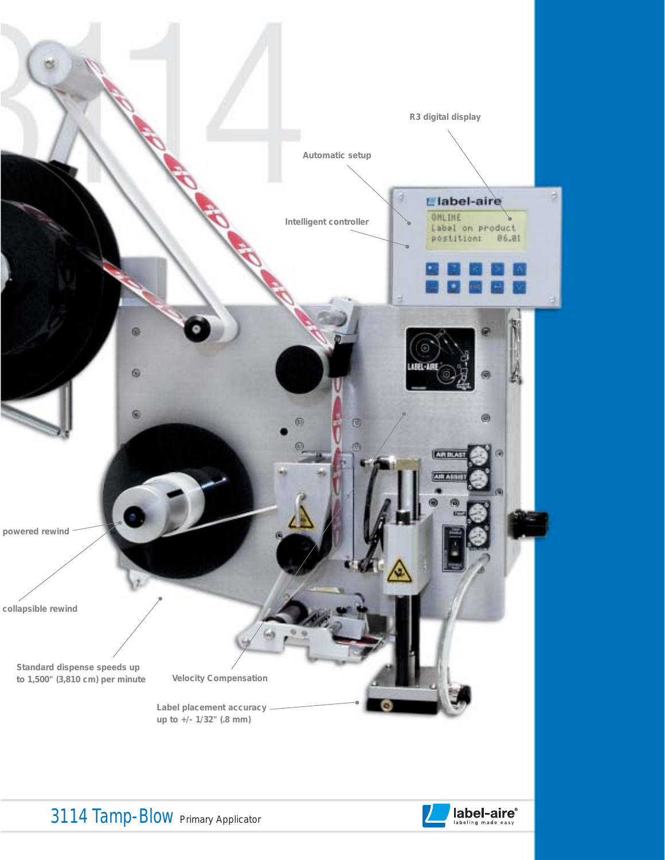